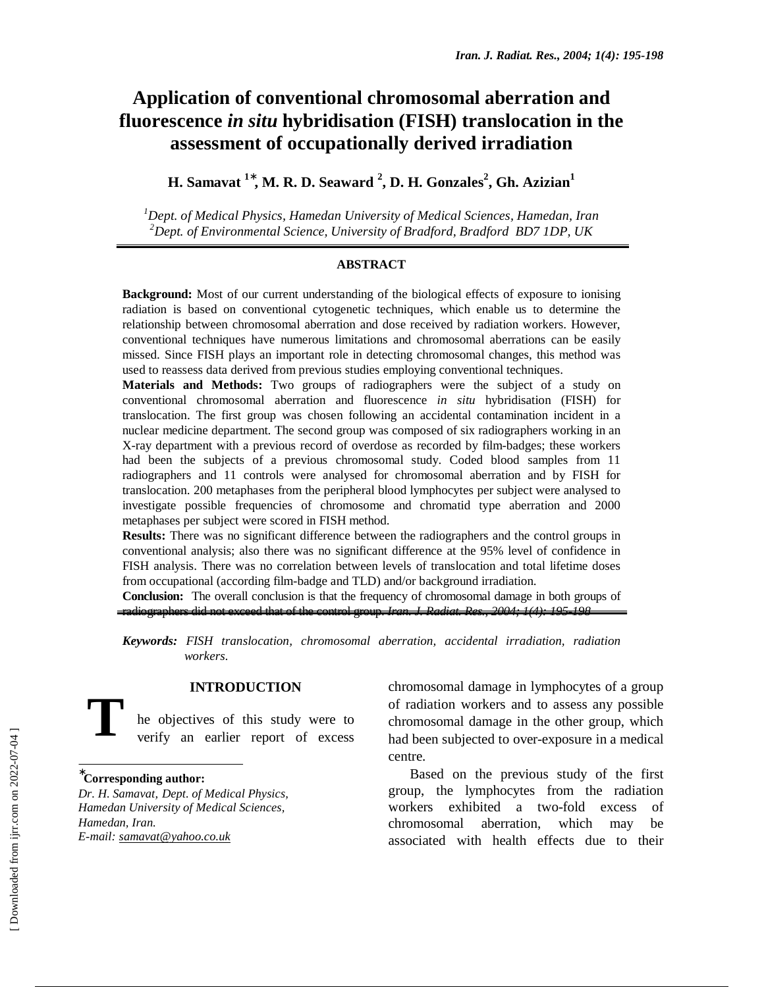# **Application of conventional chromosomal aberration and fluorescence** *in situ* **hybridisation (FISH) translocation in the assessment of occupationally derived irradiation**

**H. Samavat**  $^{1*}$ **, M. R. D. Seaward <sup>2</sup>, D. H. Gonzales<sup>2</sup>, Gh. Azizian** $^{1}$ 

*1 Dept. of Medical Physics, Hamedan University of Medical Sciences, Hamedan, Iran 2 Dept. of Environmental Science, University of Bradford, Bradford BD7 1DP, UK* 

#### **ABSTRACT**

**Background:** Most of our current understanding of the biological effects of exposure to ionising radiation is based on conventional cytogenetic techniques, which enable us to determine the relationship between chromosomal aberration and dose received by radiation workers. However, conventional techniques have numerous limitations and chromosomal aberrations can be easily missed. Since FISH plays an important role in detecting chromosomal changes, this method was used to reassess data derived from previous studies employing conventional techniques.

**Materials and Methods:** Two groups of radiographers were the subject of a study on conventional chromosomal aberration and fluorescence *in situ* hybridisation (FISH) for translocation. The first group was chosen following an accidental contamination incident in a nuclear medicine department. The second group was composed of six radiographers working in an X-ray department with a previous record of overdose as recorded by film-badges; these workers had been the subjects of a previous chromosomal study. Coded blood samples from 11 radiographers and 11 controls were analysed for chromosomal aberration and by FISH for translocation. 200 metaphases from the peripheral blood lymphocytes per subject were analysed to investigate possible frequencies of chromosome and chromatid type aberration and 2000 metaphases per subject were scored in FISH method.

**Results:** There was no significant difference between the radiographers and the control groups in conventional analysis; also there was no significant difference at the 95% level of confidence in FISH analysis. There was no correlation between levels of translocation and total lifetime doses from occupational (according film-badge and TLD) and/or background irradiation.

**Conclusion:** The overall conclusion is that the frequency of chromosomal damage in both groups of radiographers did not exceed that of the control group. *Iran. J. Radiat. Res., 2004; 1(4): 195-198*

*Keywords: FISH translocation, chromosomal aberration, accidental irradiation, radiation workers.* 

## **INTRODUCTION**

he objectives of this study were to verify an earlier report of excess **T** 

∗ **Corresponding author:** 

*Dr. H. Samavat, Dept. of Medical Physics, Hamedan University of Medical Sciences, Hamedan, Iran. E-mail: samavat@yahoo.co.uk* 

chromosomal damage in lymphocytes of a group of radiation workers and to assess any possible chromosomal damage in the other group, which had been subjected to over-exposure in a medical centre.

Based on the previous study of the first group, the lymphocytes from the radiation workers exhibited a two-fold excess of chromosomal aberration, which may be associated with health effects due to their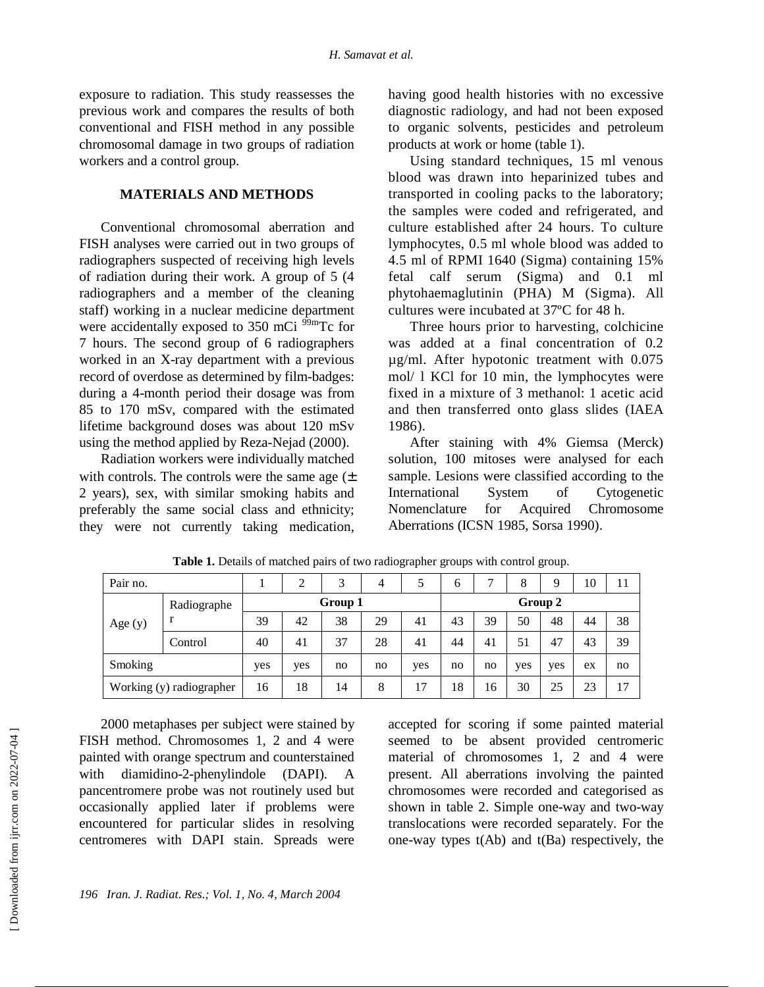exposure to radiation. This study reassesses the previous work and compares the results of both conventional and FISH method in any possible chromosomal damage in two groups of radiation workers and a control group.

#### **MATERIALS AND METHODS**

Conventional chromosomal aberration and FISH analyses were carried out in two groups of radiographers suspected of receiving high levels of radiation during their work. A group of 5 (4 radiographers and a member of the cleaning staff) working in a nuclear medicine department were accidentally exposed to  $350$  mCi<sup>99m</sup>Tc for 7 hours. The second group of 6 radiographers worked in an X-ray department with a previous record of overdose as determined by film-badges: during a 4-month period their dosage was from 85 to 170 mSv, compared with the estimated lifetime background doses was about 120 mSv using the method applied by Reza-Nejad (2000).

Radiation workers were individually matched with controls. The controls were the same age  $(\pm$ 2 years), sex, with similar smoking habits and preferably the same social class and ethnicity; they were not currently taking medication, having good health histories with no excessive diagnostic radiology, and had not been exposed to organic solvents, pesticides and petroleum products at work or home (table 1).

Using standard techniques, 15 ml venous blood was drawn into heparinized tubes and transported in cooling packs to the laboratory; the samples were coded and refrigerated, and culture established after 24 hours. To culture lymphocytes, 0.5 ml whole blood was added to 4.5 ml of RPMI 1640 (Sigma) containing 15% fetal calf serum (Sigma) and 0.1 ml phytohaemaglutinin (PHA) M (Sigma). All cultures were incubated at 37ºC for 48 h.

Three hours prior to harvesting, colchicine was added at a final concentration of 0.2 µg/ml. After hypotonic treatment with 0.075 mol/ l KCl for 10 min, the lymphocytes were fixed in a mixture of 3 methanol: 1 acetic acid and then transferred onto glass slides (IAEA 1986).

After staining with 4% Giemsa (Merck) solution, 100 mitoses were analysed for each sample. Lesions were classified according to the International System of Cytogenetic Nomenclature for Acquired Chromosome Aberrations (ICSN 1985, Sorsa 1990).

| Pair no.                 |             | 2       | 3  | $\overline{4}$ |     | 6  | ⇁  | 8       | Q   | 10 | 11 |    |  |  |
|--------------------------|-------------|---------|----|----------------|-----|----|----|---------|-----|----|----|----|--|--|
| Age $(y)$                | Radiographe | Group 1 |    |                |     |    |    | Group 2 |     |    |    |    |  |  |
|                          | r           | 39      | 42 | 38             | 29  | 41 | 43 | 39      | 50  | 48 | 44 | 38 |  |  |
|                          | Control     | 40      | 41 | 37             | 28  | 41 | 44 | 41      | 51  | 47 | 43 | 39 |  |  |
| Smoking                  | yes         | yes     | no | no             | yes | no | no | yes     | yes | ex | no |    |  |  |
| Working (y) radiographer |             | 16      | 18 | 14             | 8   | 17 | 18 | 16      | 30  | 25 | 23 | 17 |  |  |

**Table 1.** Details of matched pairs of two radiographer groups with control group.

2000 metaphases per subject were stained by FISH method. Chromosomes 1, 2 and 4 were painted with orange spectrum and counterstained with diamidino-2-phenylindole (DAPI). A pancentromere probe was not routinely used but occasionally applied later if problems were encountered for particular slides in resolving centromeres with DAPI stain. Spreads were

accepted for scoring if some painted material seemed to be absent provided centromeric material of chromosomes 1, 2 and 4 were present. All aberrations involving the painted chromosomes were recorded and categorised as shown in table 2. Simple one-way and two-way translocations were recorded separately. For the one-way types  $t(Ab)$  and  $t(Ba)$  respectively, the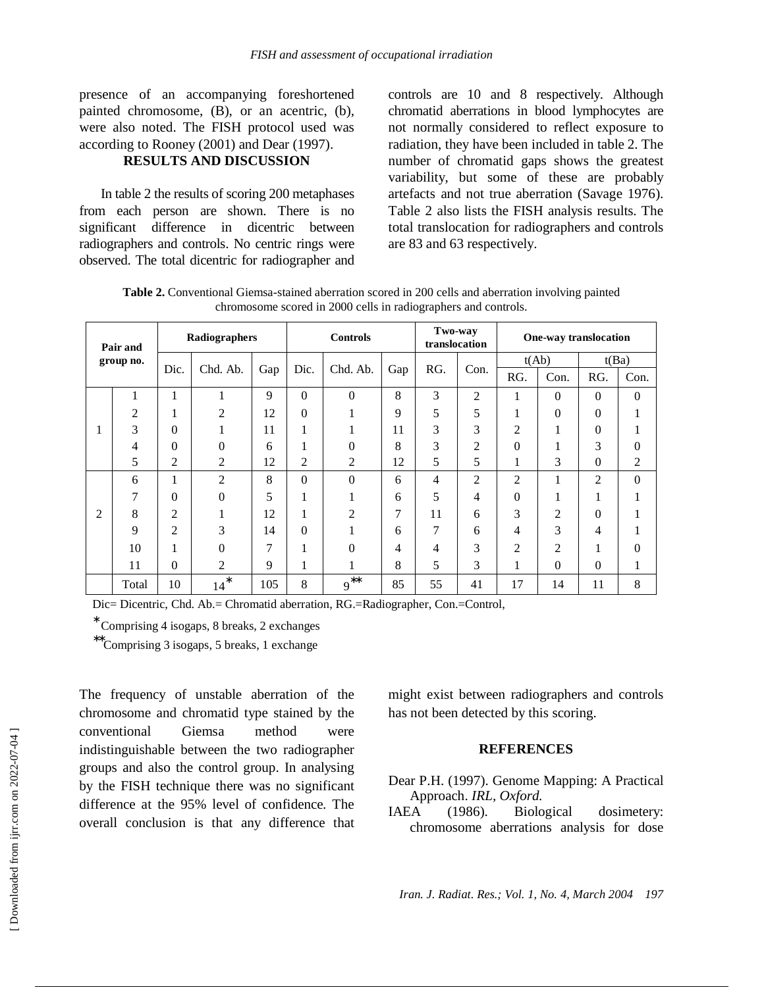presence of an accompanying foreshortened painted chromosome, (B), or an acentric, (b), were also noted. The FISH protocol used was according to Rooney (2001) and Dear (1997).

### **RESULTS AND DISCUSSION**

In table 2 the results of scoring 200 metaphases from each person are shown. There is no significant difference in dicentric between radiographers and controls. No centric rings were observed. The total dicentric for radiographer and controls are 10 and 8 respectively. Although chromatid aberrations in blood lymphocytes are not normally considered to reflect exposure to radiation, they have been included in table 2. The number of chromatid gaps shows the greatest variability, but some of these are probably artefacts and not true aberration (Savage 1976). Table 2 also lists the FISH analysis results. The total translocation for radiographers and controls are 83 and 63 respectively.

**Table 2.** Conventional Giemsa-stained aberration scored in 200 cells and aberration involving painted chromosome scored in 2000 cells in radiographers and controls.

| Pair and<br>group no. |       | Radiographers  |                |     | <b>Controls</b> |                       |               | Two-way<br>translocation |                | One-way translocation |                |          |          |  |
|-----------------------|-------|----------------|----------------|-----|-----------------|-----------------------|---------------|--------------------------|----------------|-----------------------|----------------|----------|----------|--|
|                       |       | Dic.           | Chd. Ab.       | Gap | Dic.            | Chd. Ab.              | Gap           | RG.                      | Con.           | t(Ab)                 |                | t(Ba)    |          |  |
|                       |       |                |                |     |                 |                       |               |                          |                | RG.                   | Con.           | RG.      | Con.     |  |
|                       |       | 1              |                | 9   | $\Omega$        | $\theta$              | 8             | 3                        | $\overline{2}$ | $\mathbf{1}$          | $\Omega$       | $\theta$ | $\theta$ |  |
|                       | 2     | 1              | 2              | 12  | $\theta$        |                       | 9             | 5                        | 5              |                       | $\Omega$       | 0        |          |  |
|                       | 3     | $\Omega$       |                | 11  | 1               |                       | 11            | 3                        | 3              | 2                     |                | 0        |          |  |
|                       | 4     | $\theta$       | $\theta$       | 6   | 1               | 0                     | 8             | 3                        | $\overline{c}$ | $\theta$              |                | 3        | 0        |  |
|                       | 5     | 2              | 2              | 12  | 2               | $\overline{c}$        | 12            | 5                        | 5              | 1                     | 3              | 0        | 2        |  |
| 2                     | 6     | 1              | $\overline{c}$ | 8   | $\overline{0}$  | $\theta$              | 6             | 4                        | $\overline{c}$ | $\overline{2}$        |                | 2        | 0        |  |
|                       | 7     | $\theta$       | $\Omega$       | 5   | 1               |                       | 6             | 5                        | 4              | $\theta$              | 1.             |          |          |  |
|                       | 8     | $\overline{2}$ |                | 12  | 1               | $\mathfrak{D}$        | $\mathcal{I}$ | 11                       | 6              | 3                     | $\overline{c}$ | 0        |          |  |
|                       | 9     | $\overline{2}$ | 3              | 14  | $\theta$        |                       | 6             | $\mathcal{I}$            | 6              | 4                     | 3              | 4        |          |  |
|                       | 10    | 1              | $\theta$       | 7   | 1               | $\Omega$              | 4             | 4                        | 3              | $\overline{2}$        | 2              |          | 0        |  |
|                       | 11    | $\Omega$       | $\overline{c}$ | 9   | 1               |                       | 8             | 5                        | 3              | 1                     | $\overline{0}$ | 0        |          |  |
|                       | Total | 10             | *<br>14        | 105 | 8               | $***$<br>$\mathbf{Q}$ | 85            | 55                       | 41             | 17                    | 14             | 11       | 8        |  |

Dic= Dicentric, Chd. Ab.= Chromatid aberration, RG.=Radiographer, Con.=Control,

∗ Comprising 4 isogaps, 8 breaks, 2 exchanges

∗∗Comprising 3 isogaps, 5 breaks, 1 exchange

The frequency of unstable aberration of the chromosome and chromatid type stained by the conventional Giemsa method were indistinguishable between the two radiographer groups and also the control group. In analysing by the FISH technique there was no significant difference at the 95% level of confidence. The overall conclusion is that any difference that might exist between radiographers and controls has not been detected by this scoring.

#### **REFERENCES**

Dear P.H. (1997). Genome Mapping: A Practical Approach. *IRL, Oxford.* 

IAEA (1986). Biological dosimetery: chromosome aberrations analysis for dose

*Iran. J. Radiat. Res.; Vol. 1, No. 4, March 2004 197*